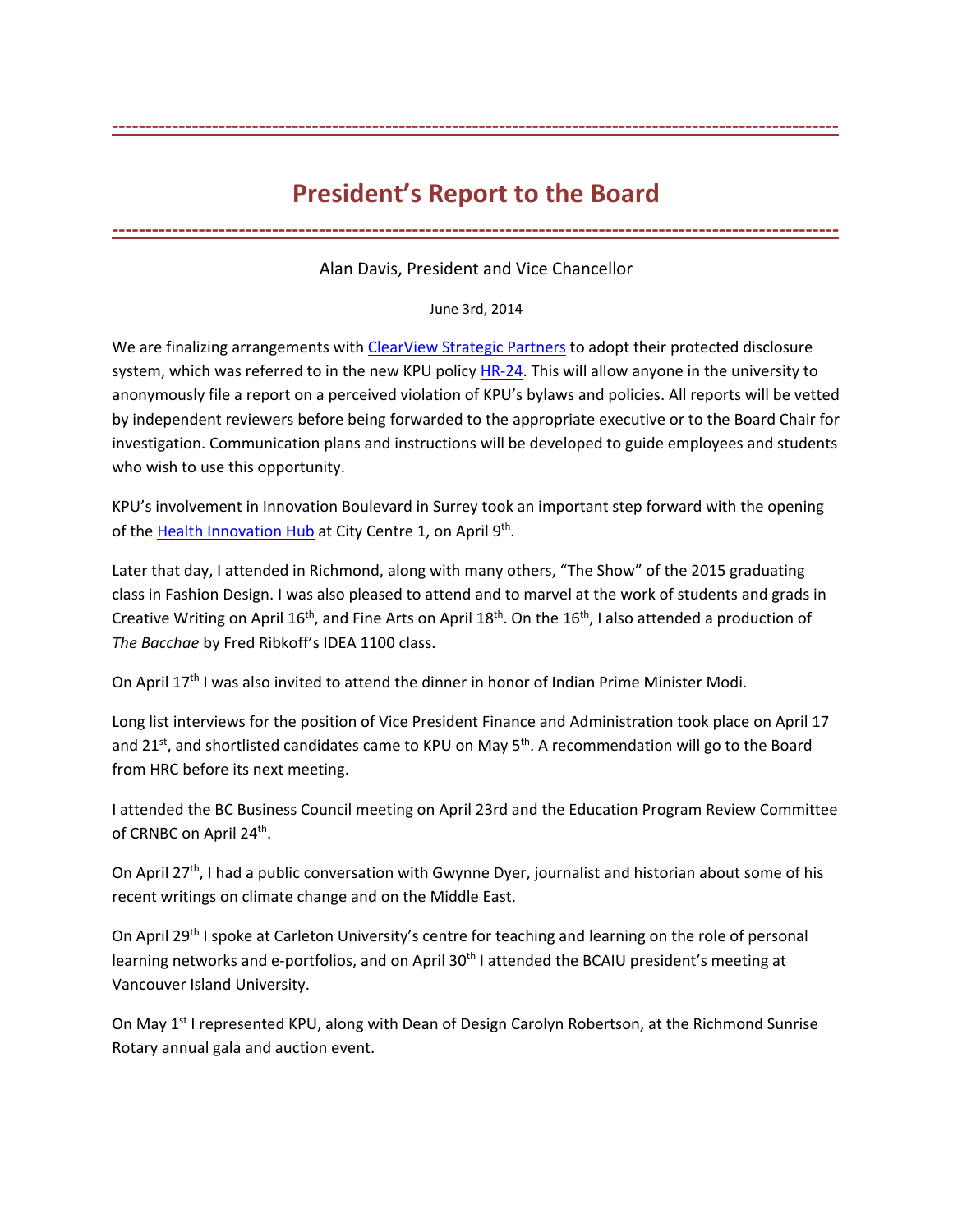## **President's Report to the Board**

**‐‐‐‐‐‐‐‐‐‐‐‐‐‐‐‐‐‐‐‐‐‐‐‐‐‐‐‐‐‐‐‐‐‐‐‐‐‐‐‐‐‐‐‐‐‐‐‐‐‐‐‐‐‐‐‐‐‐‐‐‐‐‐‐‐‐‐‐‐‐‐‐‐‐‐‐‐‐‐‐‐‐‐‐‐‐‐‐‐‐‐‐‐‐‐‐‐‐‐‐‐‐‐‐‐‐‐‐‐** 

**‐‐‐‐‐‐‐‐‐‐‐‐‐‐‐‐‐‐‐‐‐‐‐‐‐‐‐‐‐‐‐‐‐‐‐‐‐‐‐‐‐‐‐‐‐‐‐‐‐‐‐‐‐‐‐‐‐‐‐‐‐‐‐‐‐‐‐‐‐‐‐‐‐‐‐‐‐‐‐‐‐‐‐‐‐‐‐‐‐‐‐‐‐‐‐‐‐‐‐‐‐‐‐‐‐‐‐‐‐**

Alan Davis, President and Vice Chancellor

June 3rd, 2014

We are finalizing arrangements with ClearView Strategic Partners to adopt their protected disclosure system, which was referred to in the new KPU policy HR-24. This will allow anyone in the university to anonymously file a report on a perceived violation of KPU's bylaws and policies. All reports will be vetted by independent reviewers before being forwarded to the appropriate executive or to the Board Chair for investigation. Communication plans and instructions will be developed to guide employees and students who wish to use this opportunity.

KPU's involvement in Innovation Boulevard in Surrey took an important step forward with the opening of the Health Innovation Hub at City Centre 1, on April 9<sup>th</sup>.

Later that day, I attended in Richmond, along with many others, "The Show" of the 2015 graduating class in Fashion Design. I was also pleased to attend and to marvel at the work of students and grads in Creative Writing on April 16<sup>th</sup>, and Fine Arts on April 18<sup>th</sup>. On the 16<sup>th</sup>, I also attended a production of *The Bacchae* by Fred Ribkoff's IDEA 1100 class.

On April 17<sup>th</sup> I was also invited to attend the dinner in honor of Indian Prime Minister Modi.

Long list interviews for the position of Vice President Finance and Administration took place on April 17 and 21<sup>st</sup>, and shortlisted candidates came to KPU on May  $5<sup>th</sup>$ . A recommendation will go to the Board from HRC before its next meeting.

I attended the BC Business Council meeting on April 23rd and the Education Program Review Committee of CRNBC on April 24<sup>th</sup>.

On April 27<sup>th</sup>, I had a public conversation with Gwynne Dyer, journalist and historian about some of his recent writings on climate change and on the Middle East.

On April 29<sup>th</sup> I spoke at Carleton University's centre for teaching and learning on the role of personal learning networks and e-portfolios, and on April 30<sup>th</sup> I attended the BCAIU president's meeting at Vancouver Island University.

On May 1<sup>st</sup> I represented KPU, along with Dean of Design Carolyn Robertson, at the Richmond Sunrise Rotary annual gala and auction event.